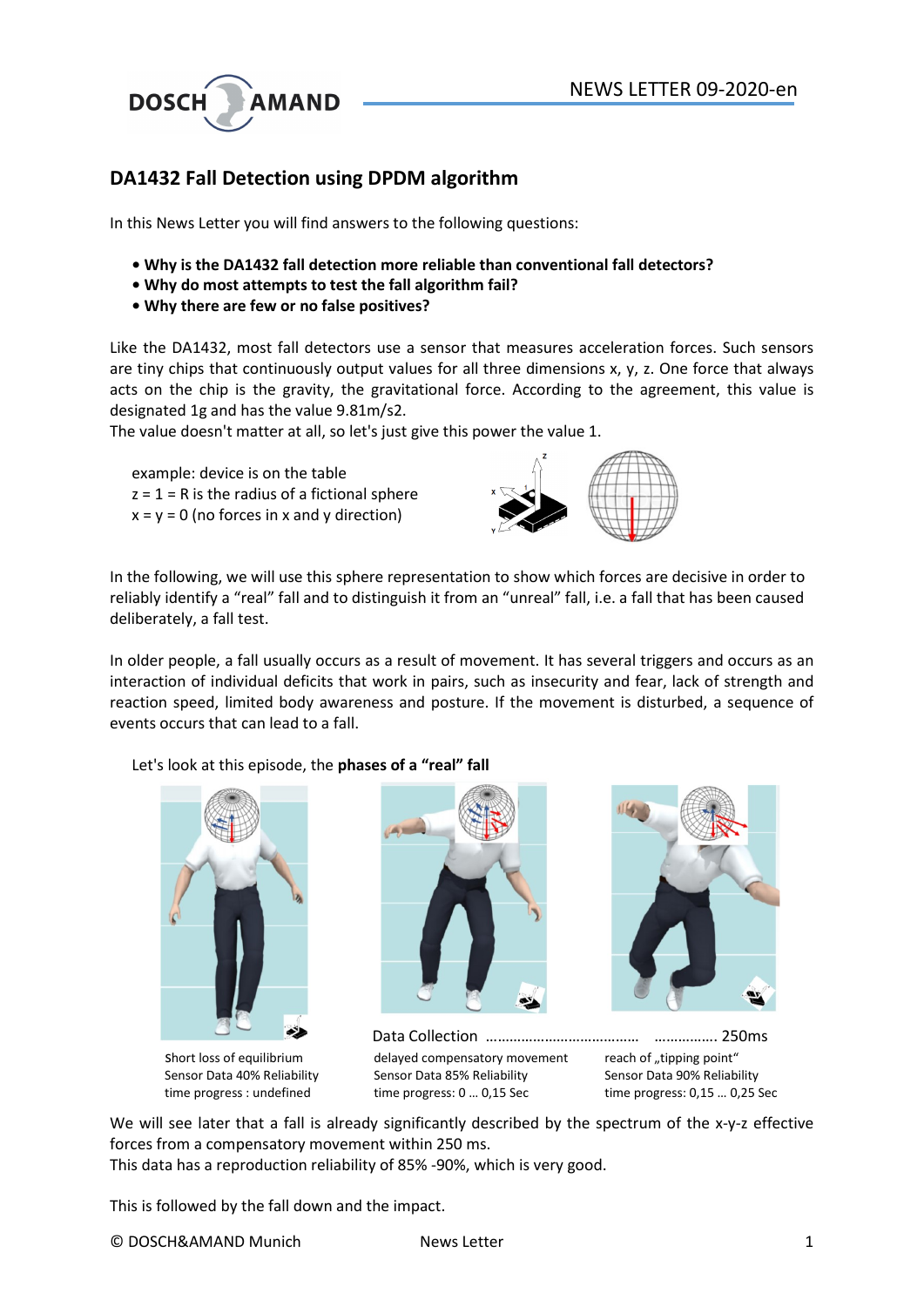

## DA1432 Fall Detection using DPDM algorithm

In this News Letter you will find answers to the following questions:

- Why is the DA1432 fall detection more reliable than conventional fall detectors?
- Why do most attempts to test the fall algorithm fail?
- Why there are few or no false positives?

Like the DA1432, most fall detectors use a sensor that measures acceleration forces. Such sensors are tiny chips that continuously output values for all three dimensions x, y, z. One force that always acts on the chip is the gravity, the gravitational force. According to the agreement, this value is designated 1g and has the value 9.81m/s2.

The value doesn't matter at all, so let's just give this power the value 1.

example: device is on the table  $z = 1 = R$  is the radius of a fictional sphere  $x = y = 0$  (no forces in x and y direction)



In the following, we will use this sphere representation to show which forces are decisive in order to reliably identify a "real" fall and to distinguish it from an "unreal" fall, i.e. a fall that has been caused deliberately, a fall test.

In older people, a fall usually occurs as a result of movement. It has several triggers and occurs as an interaction of individual deficits that work in pairs, such as insecurity and fear, lack of strength and reaction speed, limited body awareness and posture. If the movement is disturbed, a sequence of events occurs that can lead to a fall.

Let's look at this episode, the phases of a "real" fall









We will see later that a fall is already significantly described by the spectrum of the x-y-z effective forces from a compensatory movement within 250 ms. This data has a reproduction reliability of 85% -90%, which is very good.

This is followed by the fall down and the impact.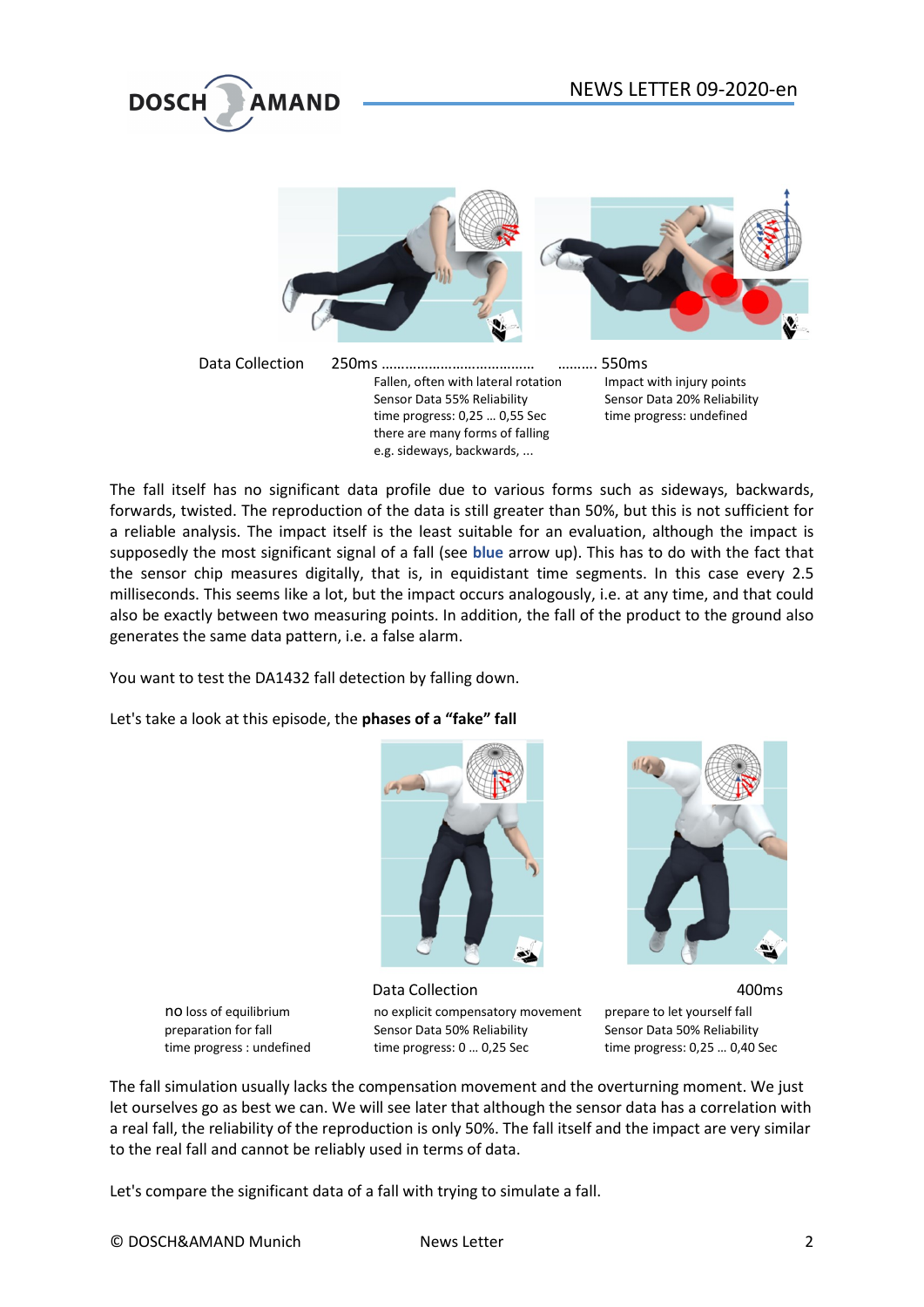



The fall itself has no significant data profile due to various forms such as sideways, backwards, forwards, twisted. The reproduction of the data is still greater than 50%, but this is not sufficient for a reliable analysis. The impact itself is the least suitable for an evaluation, although the impact is supposedly the most significant signal of a fall (see blue arrow up). This has to do with the fact that the sensor chip measures digitally, that is, in equidistant time segments. In this case every 2.5 milliseconds. This seems like a lot, but the impact occurs analogously, i.e. at any time, and that could also be exactly between two measuring points. In addition, the fall of the product to the ground also generates the same data pattern, i.e. a false alarm.

e.g. sideways, backwards, ...

You want to test the DA1432 fall detection by falling down.

Let's take a look at this episode, the phases of a "fake" fall





Data Collection **400ms** no loss of equilibrium no explicit compensatory movement prepare to let yourself fall preparation for fall Sensor Data 50% Reliability Sensor Data 50% Reliability time progress : undefined time progress: 0 ... 0,25 Sec time progress: 0,25 ... 0,40 Sec



The fall simulation usually lacks the compensation movement and the overturning moment. We just let ourselves go as best we can. We will see later that although the sensor data has a correlation with a real fall, the reliability of the reproduction is only 50%. The fall itself and the impact are very similar to the real fall and cannot be reliably used in terms of data.

Let's compare the significant data of a fall with trying to simulate a fall.